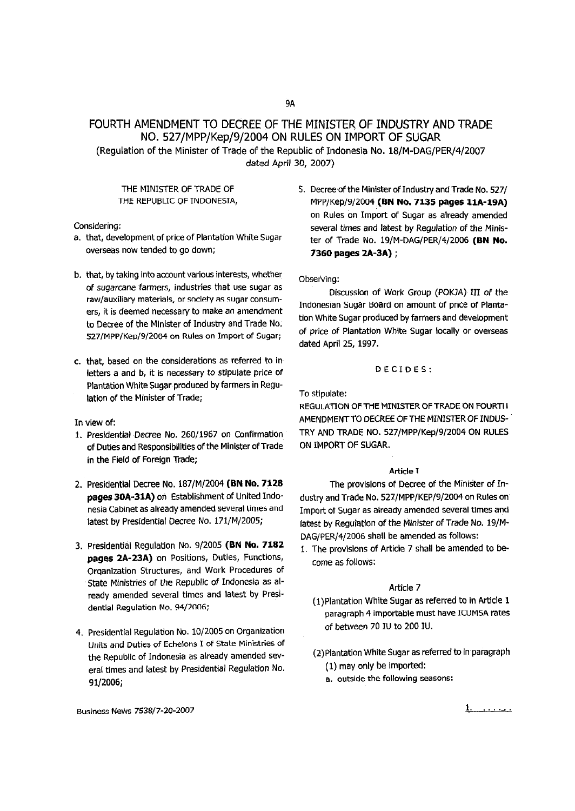# FOURTH AMENDMENT TO DECREE OF THE MINISTER OF INDUSTRY AND TRADE NO. 527/MPP/Kep/9j2004 ON RULES ON IMPORT OF SUGAR

(Regulation of the Minister of Trade of the Republic of Indonesia No. 18/M-DAG/PER/4/2007 dated April 30, 2007)

THE MINISTER OF TRADE OF THE REPUBLIC OF INDONESIA,

Considering:

- a. that, development of price of Plantation White Sugar overseas now tended to go down;
- b. that, by taking into account various interests, whether of sugarcane farmers, industries that use sugar as raw/auxiliary materials, or society as sugar consumers, it is deemed necessary to make an amendment to Decree of the Minister of Industry and Trade No. S27/MPP/KeD/9/2004 on Rules on Import of Sugar;
- c. that, based on the considerations as referred to in letters a and b, it is necessary to stipulate price of Plantation White Sugar produced by farmers in Regulation of the Minister of Trade;

In view of:

- 1. Presidential Decree No. 260/1967 on Confirmation of Duties and Responsibilities of the Minister of Trade in the Field of Foreign Trade;
- 2. Presidential Decree No. 187/M/2004 (BN No. 7128 pages 30A-31A) on Establishment of United Indonesia Cabinet as already amended several times and latest by Presidential Decree No. 171/M/2005;
- 3. Presidential Regulation No. 9/2005 (BN No. 7182 pages 2A-23A) on Positions, Duties, Functions, Organization Structures, and Work Procedures of State Ministries of the Republic of Indonesia as already amended several times and latest by Presidential Regulation No. 94/2006;
- 4. Presidential Regulation No. 10/2005 on Organization Units and Duties of Echelons I of State Ministries of the Republic of Indonesia as already amended several times and latest by Presidential Regulation No. 91/2006;
- BusinessNews 7538/7-20-2007 1. ......

5. Decree of the Minister of Industry and Trade No. 527/ MPP/Kep/9/2004 (BN No. 7135 pages 11A-19A) on Rules on Import of Sugar as already amended several times and latest by Regulation of the Minister of Trade No. 19/M-DAG/PER/4/2006 (BN No. 7360 pages 2A-3A) ;

Observing:

Discussion of Work Group (POKJA) III of the Indonesian Sugar Board on amount of price of Plantation White Sugar produced by farmers and development of price of Plantation White Sugar locally or overseas dated April 25, 1997.

#### DECIDES:

To stipulate:

REGULATION OF THE MINISTER OF TRADE ON FOURTII AMENDMENT TO DECREE OF THE MINISTER OF INDUS-TRY AND TRADE NO. 527/MPP/Kep/9/2004 ON RULES ON IMPORT OF SUGAR.

#### Article T

The provisions of Decree of the Minister of Industry and Trade No. 527/MPP/KEP/9/2004 on Rules on Import 01 Sugar as already amended several times and latest by Regulation of the Minister of Trade No. 19/M-DAG/PER/4/2006 shall be amended as follows:

1. The provisions of Article 7 shall be amended to become as follows:

#### Article 7

- (1) Plantation White Sugar as referred to in Article 1 paragraph 4 importable must have ICUMSA rates of between 70 IU to 200 IU.
- (2) Plantation White Sugar as referred to in paragraph (1) may only be imported:
	- a. outside the following seasons: